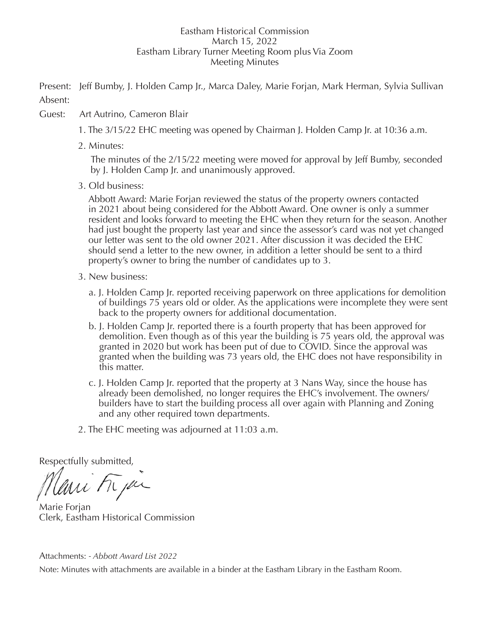## Eastham Historical Commission March 15, 2022 Eastham Library Turner Meeting Room plus Via Zoom Meeting Minutes

Present: Jeff Bumby, J. Holden Camp Jr., Marca Daley, Marie Forjan, Mark Herman, Sylvia Sullivan Absent:

- Guest: Art Autrino, Cameron Blair
	- 1. The 3/15/22 EHC meeting was opened by Chairman J. Holden Camp Jr. at 10:36 a.m.
	- 2. Minutes:

 The minutes of the 2/15/22 meeting were moved for approval by Jeff Bumby, seconded by J. Holden Camp Jr. and unanimously approved.

3. Old business:

 Abbott Award: Marie Forjan reviewed the status of the property owners contacted in 2021 about being considered for the Abbott Award. One owner is only a summer resident and looks forward to meeting the EHC when they return for the season. Another had just bought the property last year and since the assessor's card was not yet changed our letter was sent to the old owner 2021. After discussion it was decided the EHC should send a letter to the new owner, in addition a letter should be sent to a third property's owner to bring the number of candidates up to 3.

- 3. New business:
	- a. J. Holden Camp Jr. reported receiving paperwork on three applications for demolition of buildings 75 years old or older. As the applications were incomplete they were sent back to the property owners for additional documentation.
	- b. J. Holden Camp Jr. reported there is a fourth property that has been approved for demolition. Even though as of this year the building is 75 years old, the approval was granted in 2020 but work has been put of due to COVID. Since the approval was granted when the building was 73 years old, the EHC does not have responsibility in this matter.
	- c. J. Holden Camp Jr. reported that the property at 3 Nans Way, since the house has already been demolished, no longer requires the EHC's involvement. The owners/ builders have to start the building process all over again with Planning and Zoning and any other required town departments.
- 2. The EHC meeting was adjourned at 11:03 a.m.

Respectfully submitted,

Mari Frja

Marie Forjan Clerk, Eastham Historical Commission

Attachments: *- Abbott Award List 2022*

Note: Minutes with attachments are available in a binder at the Eastham Library in the Eastham Room.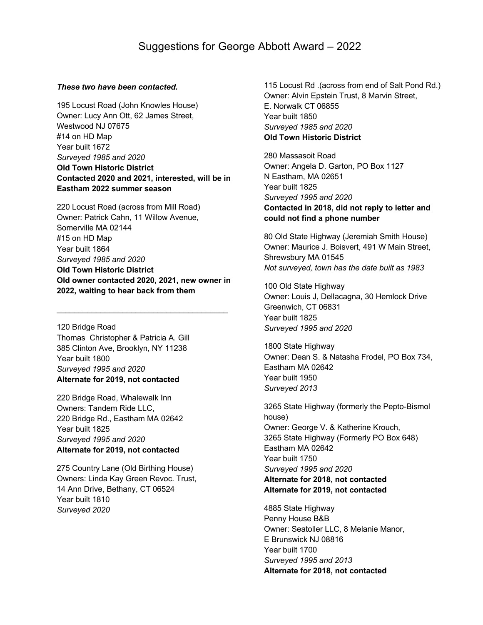## *These two have been contacted.*

195 Locust Road (John Knowles House) Owner: Lucy Ann Ott, 62 James Street, Westwood NJ 07675 #14 on HD Map Year built 1672 *Surveyed 1985 and 2020* **Old Town Historic District Contacted 2020 and 2021, interested, will be in Eastham 2022 summer season**

220 Locust Road (across from Mill Road) Owner: Patrick Cahn, 11 Willow Avenue, Somerville MA 02144 #15 on HD Map Year built 1864 *Surveyed 1985 and 2020* **Old Town Historic District Old owner contacted 2020, 2021, new owner in 2022, waiting to hear back from them**

\_\_\_\_\_\_\_\_\_\_\_\_\_\_\_\_\_\_\_\_\_\_\_\_\_\_\_\_\_\_\_\_\_\_\_\_\_\_\_

120 Bridge Road Thomas Christopher & Patricia A. Gill 385 Clinton Ave, Brooklyn, NY 11238 Year built 1800 *Surveyed 1995 and 2020* **Alternate for 2019, not contacted**

220 Bridge Road, Whalewalk Inn Owners: Tandem Ride LLC, 220 Bridge Rd., Eastham MA 02642 Year built 1825 *Surveyed 1995 and 2020* **Alternate for 2019, not contacted**

275 Country Lane (Old Birthing House) Owners: Linda Kay Green Revoc. Trust, 14 Ann Drive, Bethany, CT 06524 Year built 1810 *Surveyed 2020*

115 Locust Rd .(across from end of Salt Pond Rd.) Owner: Alvin Epstein Trust, 8 Marvin Street, E. Norwalk CT 06855 Year built 1850 *Surveyed 1985 and 2020* **Old Town Historic District**

280 Massasoit Road Owner: Angela D. Garton, PO Box 1127 N Eastham, MA 02651 Year built 1825 *Surveyed 1995 and 2020* **Contacted in 2018, did not reply to letter and could not find a phone number**

80 Old State Highway (Jeremiah Smith House) Owner: Maurice J. Boisvert, 491 W Main Street, Shrewsbury MA 01545 *Not surveyed, town has the date built as 1983*

100 Old State Highway Owner: Louis J, Dellacagna, 30 Hemlock Drive Greenwich, CT 06831 Year built 1825 *Surveyed 1995 and 2020*

1800 State Highway Owner: Dean S. & Natasha Frodel, PO Box 734, Eastham MA 02642 Year built 1950 *Surveyed 2013*

3265 State Highway (formerly the Pepto-Bismol house) Owner: George V. & Katherine Krouch, 3265 State Highway (Formerly PO Box 648) Eastham MA 02642 Year built 1750 *Surveyed 1995 and 2020*

## **Alternate for 2018, not contacted Alternate for 2019, not contacted**

4885 State Highway Penny House B&B Owner: Seatoller LLC, 8 Melanie Manor, E Brunswick NJ 08816 Year built 1700 *Surveyed 1995 and 2013* **Alternate for 2018, not contacted**